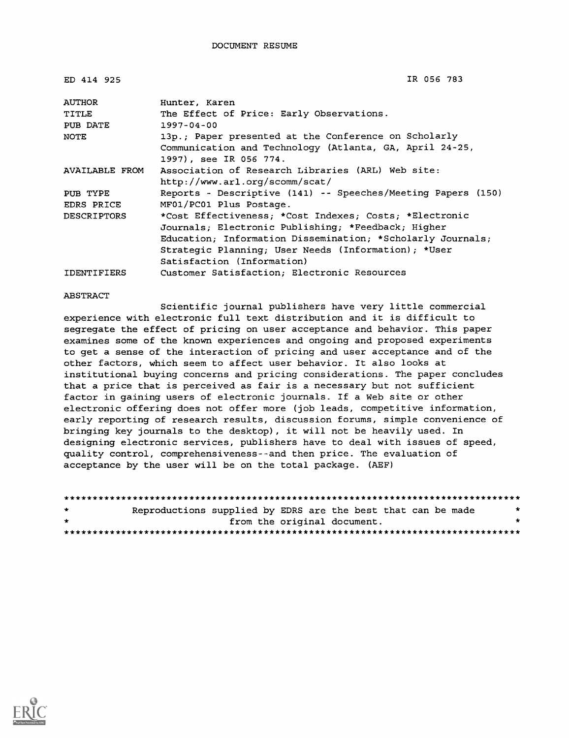| ED 414 925         | IR 056 783                                                   |
|--------------------|--------------------------------------------------------------|
| AUTHOR             | Hunter, Karen                                                |
| TITLE              | The Effect of Price: Early Observations.                     |
| PUB DATE           | $1997 - 04 - 00$                                             |
| NOTE               | 13p.; Paper presented at the Conference on Scholarly         |
|                    | Communication and Technology (Atlanta, GA, April 24-25,      |
|                    | 1997), see IR 056 774.                                       |
| AVAILABLE FROM     | Association of Research Libraries (ARL) Web site:            |
|                    | http://www.arl.org/scomm/scat/                               |
| PUB TYPE           | Reports - Descriptive (141) -- Speeches/Meeting Papers (150) |
| EDRS PRICE         | MF01/PC01 Plus Postage.                                      |
| <b>DESCRIPTORS</b> | *Cost Effectiveness; *Cost Indexes; Costs; *Electronic       |
|                    | Journals; Electronic Publishing; *Feedback; Higher           |
|                    | Education; Information Dissemination; *Scholarly Journals;   |
|                    | Strategic Planning; User Needs (Information); *User          |
|                    | Satisfaction (Information)                                   |
| <b>IDENTIFIERS</b> | Customer Satisfaction; Electronic Resources                  |

#### ABSTRACT

Scientific journal publishers have very little commercial experience with electronic full text distribution and it is difficult to segregate the effect of pricing on user acceptance and behavior. This paper examines some of the known experiences and ongoing and proposed experiments to get a sense of the interaction of pricing and user acceptance and of the other factors, which seem to affect user behavior. It also looks at institutional buying concerns and pricing considerations. The paper concludes that a price that is perceived as fair is a necessary but not sufficient factor in gaining users of electronic journals. If a Web site or other electronic offering does not offer more (job leads, competitive information, early reporting of research results, discussion forums, simple convenience of bringing key journals to the desktop), it will not be heavily used. In designing electronic services, publishers have to deal with issues of speed, quality control, comprehensiveness--and then price. The evaluation of acceptance by the user will be on the total package. (AEF)

| $\bullet$ | Reproductions supplied by EDRS are the best that can be made |                             |  |  |  |  | * |  |  |
|-----------|--------------------------------------------------------------|-----------------------------|--|--|--|--|---|--|--|
| $\star$   |                                                              | from the original document. |  |  |  |  |   |  |  |
|           |                                                              |                             |  |  |  |  |   |  |  |

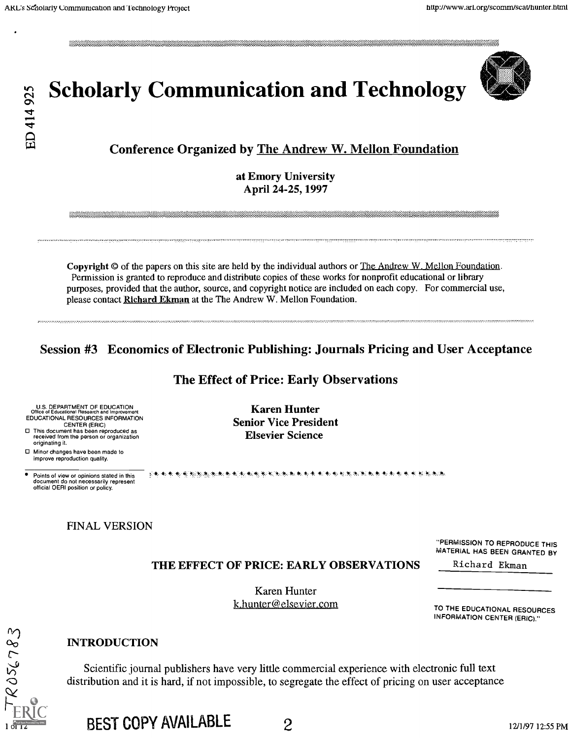

# $\frac{2}{3}$  Scholarly Communication and Technology<br>  $\frac{4}{9}$

# Conference Organized by The Andrew W. Mellon Foundation

at Emory University April 24-25, 1997

Copyright © of the papers on this site are held by the individual authors or The Andrew W. Mellon Foundation. Permission is granted to reproduce and distribute copies of these works for nonprofit educational or library purposes, provided that the author, source, and copyright notice are included on each copy. For commercial use, please contact Richard Ekman at the The Andrew W. Mellon Foundation.

# Session #3 Economics of Electronic Publishing: Journals Pricing and User Acceptance

#### The Effect of Price: Early Observations

Karen Hunter Senior Vice President Elsevier Science

U.S. DEPARTMENT OF EDUCATION Office of Educational Research and Improvement EDUCATIONAL RESOURCES INFORMATION CENTER (ERIC) This document has been reproduced as received from the person or organization originating it.

Minor changes have been made to improve reproduction quality.

 $ROSC783$ 

Points of view or opinions stated in this document do not necessarily represent official OERI position or policy.

#### FINAL VERSION

"PERMISSION TO REPRODUCE THIS MATERIAL HAS BEEN GRANTED BY

Richard Ekman

THE EFFECT OF PRICE: EARLY OBSERVATIONS

**电电 电电子电池 电电子 计函数 化二硫酸盐 医二硫酸盐 医二硫酸盐 医二硫酸盐 医二硫酸盐 医二硫酸盐 医二硫酸盐** 

Karen Hunter k.hunter@elsevier.com

TO THE EDUCATIONAL RESOURCES

INFORMATION CENTER (ERIC)."

#### INTRODUCTION

Scientific journal publishers have very little commercial experience with electronic full text distribution and it is hard, if not impossible, to segregate the effect of pricing on user acceptance

BEST COPY AVAILABLE 2 12/1/97 12:55 PM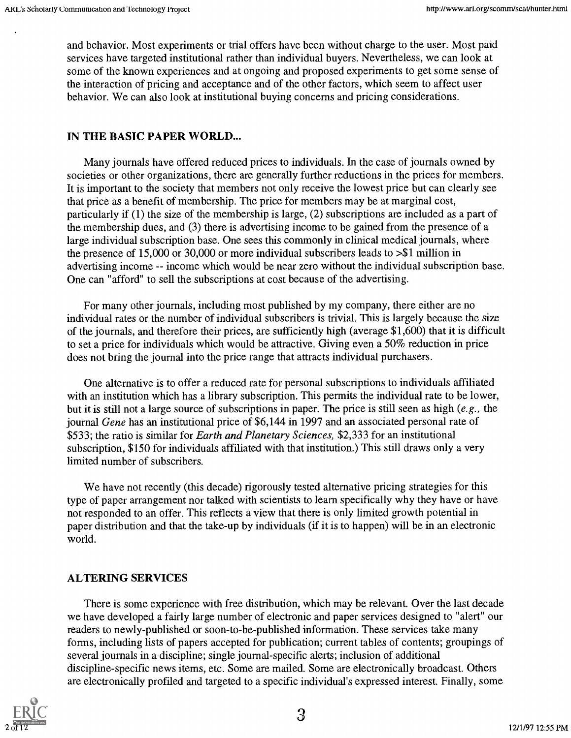and behavior. Most experiments or trial offers have been without charge to the user. Most paid services have targeted institutional rather than individual buyers. Nevertheless, we can look at some of the known experiences and at ongoing and proposed experiments to get some sense of the interaction of pricing and acceptance and of the other factors, which seem to affect user behavior. We can also look at institutional buying concerns and pricing considerations.

# IN THE BASIC PAPER WORLD...

Many journals have offered reduced prices to individuals. In the case of journals owned by societies or other organizations, there are generally further reductions in the prices for members. It is important to the society that members not only receive the lowest price but can clearly see that price as a benefit of membership. The price for members may be at marginal cost, particularly if (1) the size of the membership is large, (2) subscriptions are included as a part of the membership dues, and (3) there is advertising income to be gained from the presence of a large individual subscription base. One sees this commonly in clinical medical journals, where the presence of 15,000 or 30,000 or more individual subscribers leads to >\$1 million in advertising income -- income which would be near zero without the individual subscription base. One can "afford" to sell the subscriptions at cost because of the advertising.

For many other journals, including most published by my company, there either are no individual rates or the number of individual subscribers is trivial. This is largely because the size of the journals, and therefore their prices, are sufficiently high (average \$1,600) that it is difficult to set a price for individuals which would be attractive. Giving even a 50% reduction in price does not bring the journal into the price range that attracts individual purchasers.

One alternative is to offer a reduced rate for personal subscriptions to individuals affiliated with an institution which has a library subscription. This permits the individual rate to be lower, but it is still not a large source of subscriptions in paper. The price is still seen as high (e.g., the journal Gene has an institutional price of \$6,144 in 1997 and an associated personal rate of \$533; the ratio is similar for *Earth and Planetary Sciences*, \$2,333 for an institutional subscription, \$150 for individuals affiliated with that institution.) This still draws only a very limited number of subscribers.

We have not recently (this decade) rigorously tested alternative pricing strategies for this type of paper arrangement nor talked with scientists to learn specifically why they have or have not responded to an offer. This reflects a view that there is only limited growth potential in paper distribution and that the take-up by individuals (if it is to happen) will be in an electronic world.

# ALTERING SERVICES

There is some experience with free distribution, which may be relevant. Over the last decade we have developed a fairly large number of electronic and paper services designed to "alert" our readers to newly-published or soon-to-be-published information. These services take many forms, including lists of papers accepted for publication; current tables of contents; groupings of several journals in a discipline; single journal-specific alerts; inclusion of additional discipline-specific news items, etc. Some are mailed. Some are electronically broadcast. Others are electronically profiled and targeted to a specific individual's expressed interest. Finally, some

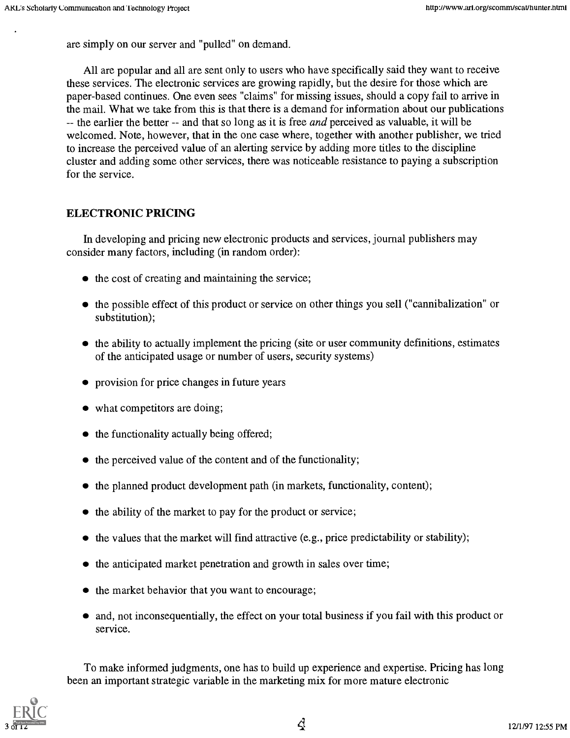are simply on our server and "pulled" on demand.

All are popular and all are sent only to users who have specifically said they want to receive these services. The electronic services are growing rapidly, but the desire for those which are paper-based continues. One even sees "claims" for missing issues, should a copy fail to arrive in the mail. What we take from this is that there is a demand for information about our publications -- the earlier the better -- and that so long as it is free *and* perceived as valuable, it will be welcomed. Note, however, that in the one case where, together with another publisher, we tried to increase the perceived value of an alerting service by adding more titles to the discipline cluster and adding some other services, there was noticeable resistance to paying a subscription for the service.

#### ELECTRONIC PRICING

In developing and pricing new electronic products and services, journal publishers may consider many factors, including (in random order):

- $\bullet$  the cost of creating and maintaining the service;
- the possible effect of this product or service on other things you sell ("cannibalization" or substitution);
- $\bullet$  the ability to actually implement the pricing (site or user community definitions, estimates of the anticipated usage or number of users, security systems)
- provision for price changes in future years
- what competitors are doing;
- $\bullet$  the functionality actually being offered;
- $\bullet$  the perceived value of the content and of the functionality;
- $\bullet$  the planned product development path (in markets, functionality, content);
- $\bullet$  the ability of the market to pay for the product or service;
- $\bullet$  the values that the market will find attractive (e.g., price predictability or stability);
- $\bullet$  the anticipated market penetration and growth in sales over time;
- the market behavior that you want to encourage;
- and, not inconsequentially, the effect on your total business if you fail with this product or service.

To make informed judgments, one has to build up experience and expertise. Pricing has long been an important strategic variable in the marketing mix for more mature electronic

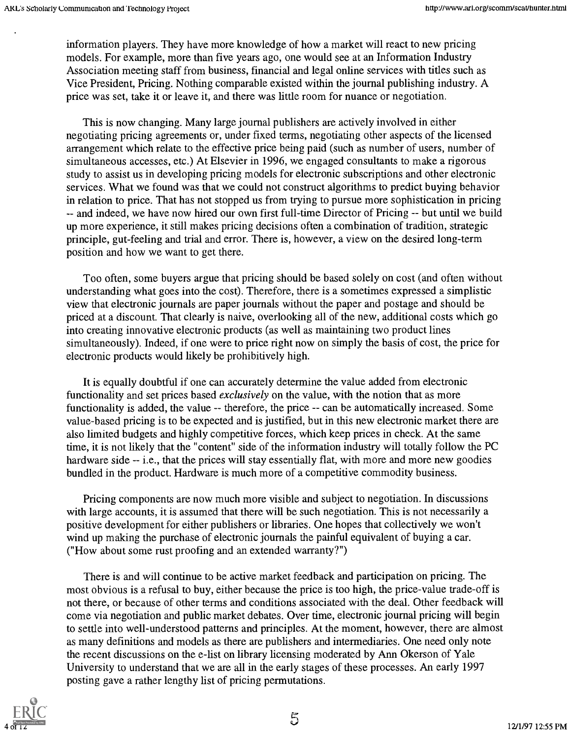information players. They have more knowledge of how a market will react to new pricing models. For example, more than five years ago, one would see at an Information Industry Association meeting staff from business, financial and legal online services with titles such as Vice President, Pricing. Nothing comparable existed within the journal publishing industry. A price was set, take it or leave it, and there was little room for nuance or negotiation.

This is now changing. Many large journal publishers are actively involved in either negotiating pricing agreements or, under fixed terms, negotiating other aspects of the licensed arrangement which relate to the effective price being paid (such as number of users, number of simultaneous accesses, etc.) At Elsevier in 1996, we engaged consultants to make a rigorous study to assist us in developing pricing models for electronic subscriptions and other electronic services. What we found was that we could not construct algorithms to predict buying behavior in relation to price. That has not stopped us from trying to pursue more sophistication in pricing -- and indeed, we have now hired our own first full-time Director of Pricing -- but until we build up more experience, it still makes pricing decisions often a combination of tradition, strategic principle, gut-feeling and trial and error. There is, however, a view on the desired long-term position and how we want to get there.

Too often, some buyers argue that pricing should be based solely on cost (and often without understanding what goes into the cost). Therefore, there is a sometimes expressed a simplistic view that electronic journals are paper journals without the paper and postage and should be priced at a discount. That clearly is naive, overlooking all of the new, additional costs which go into creating innovative electronic products (as well as maintaining two product lines simultaneously). Indeed, if one were to price right now on simply the basis of cost, the price for electronic products would likely be prohibitively high.

It is equally doubtful if one can accurately determine the value added from electronic functionality and set prices based *exclusively* on the value, with the notion that as more functionality is added, the value -- therefore, the price -- can be automatically increased. Some value-based pricing is to be expected and is justified, but in this new electronic market there are also limited budgets and highly competitive forces, which keep prices in check. At the same time, it is not likely that the "content" side of the information industry will totally follow the PC hardware side -- i.e., that the prices will stay essentially flat, with more and more new goodies bundled in the product. Hardware is much more of a competitive commodity business.

Pricing components are now much more visible and subject to negotiation. In discussions with large accounts, it is assumed that there will be such negotiation. This is not necessarily a positive development for either publishers or libraries. One hopes that collectively we won't wind up making the purchase of electronic journals the painful equivalent of buying a car. ("How about some rust proofing and an extended warranty?")

There is and will continue to be active market feedback and participation on pricing. The most obvious is a refusal to buy, either because the price is too high, the price-value trade-off is not there, or because of other terms and conditions associated with the deal. Other feedback will come via negotiation and public market debates. Over time, electronic journal pricing will begin to settle into well-understood patterns and principles. At the moment, however, there are almost as many definitions and models as there are publishers and intermediaries. One need only note the recent discussions on the e-list on library licensing moderated by Ann Okerson of Yale University to understand that we are all in the early stages of these processes. An early 1997 posting gave a rather lengthy list of pricing permutations.

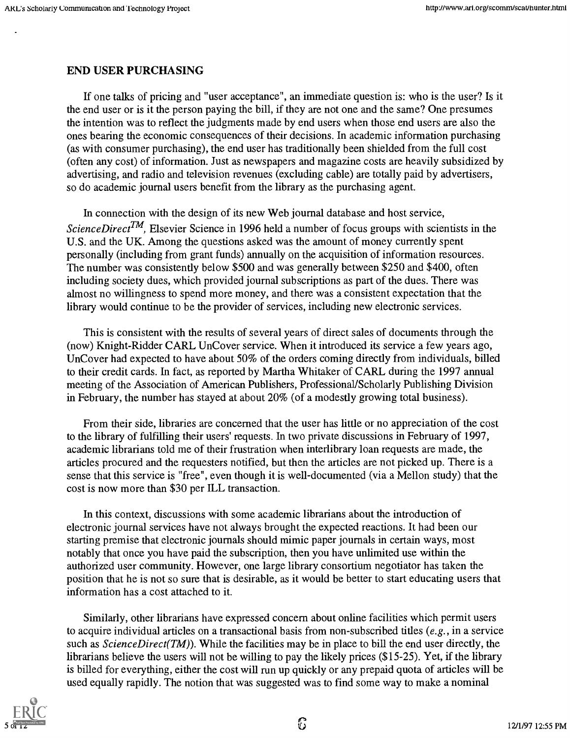#### END USER PURCHASING

If one talks of pricing and "user acceptance", an immediate question is: who is the user? Is it the end user or is it the person paying the bill, if they are not one and the same? One presumes the intention was to reflect the judgments made by end users when those end users are also the ones bearing the economic consequences of their decisions. In academic information purchasing (as with consumer purchasing), the end user has traditionally been shielded from the full cost (often any cost) of information. Just as newspapers and magazine costs are heavily subsidized by advertising, and radio and television revenues (excluding cable) are totally paid by advertisers, so do academic journal users benefit from the library as the purchasing agent.

In connection with the design of its new Web journal database and host service, ScienceDirect<sup>TM</sup>, Elsevier Science in 1996 held a number of focus groups with scientists in the U.S. and the UK. Among the questions asked was the amount of money currently spent personally (including from grant funds) annually on the acquisition of information resources. The number was consistently below \$500 and was generally between \$250 and \$400, often including society dues, which provided journal subscriptions as part of the dues. There was almost no willingness to spend more money, and there was a consistent expectation that the library would continue to be the provider of services, including new electronic services.

This is consistent with the results of several years of direct sales of documents through the (now) Knight-Ridder CARL UnCover service. When it introduced its service a few years ago, UnCover had expected to have about 50% of the orders coming directly from individuals, billed to their credit cards. In fact, as reported by Martha Whitaker of CARL during the 1997 annual meeting of the Association of American Publishers, Professional/Scholarly Publishing Division in February, the number has stayed at about 20% (of a modestly growing total business).

From their side, libraries are concerned that the user has little or no appreciation of the cost to the library of fulfilling their users' requests. In two private discussions in February of 1997, academic librarians told me of their frustration when interlibrary loan requests are made, the articles procured and the requesters notified, but then the articles are not picked up. There is a sense that this service is "free", even though it is well-documented (via a Mellon study) that the cost is now more than \$30 per ILL transaction.

In this context, discussions with some academic librarians about the introduction of electronic journal services have not always brought the expected reactions. It had been our starting premise that electronic journals should mimic paper journals in certain ways, most notably that once you have paid the subscription, then you have unlimited use within the authorized user community. However, one large library consortium negotiator has taken the position that he is not so sure that is desirable, as it would be better to start educating users that information has a cost attached to it.

Similarly, other librarians have expressed concern about online facilities which permit users to acquire individual articles on a transactional basis from non-subscribed titles (e.g., in a service such as  $ScienceDirect(TM)$ . While the facilities may be in place to bill the end user directly, the librarians believe the users will not be willing to pay the likely prices (\$15-25). Yet, if the library is billed for everything, either the cost will run up quickly or any prepaid quota of articles will be used equally rapidly. The notion that was suggested was to find some way to make a nominal

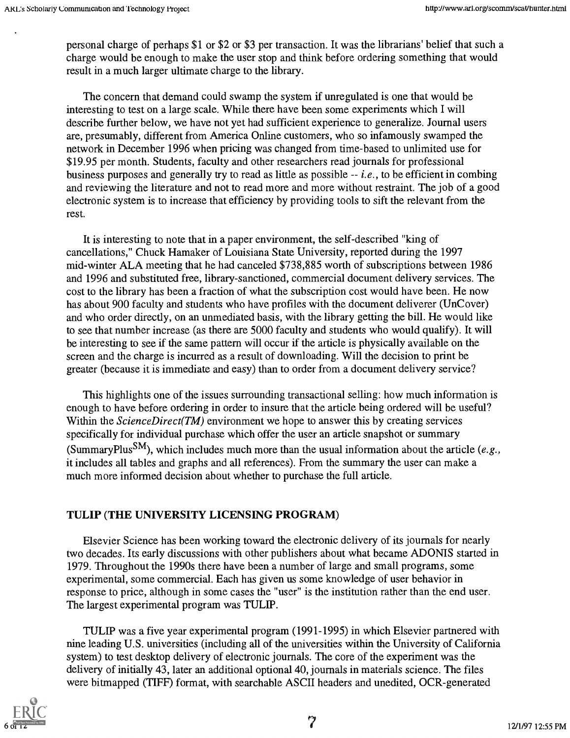personal charge of perhaps \$1 or \$2 or \$3 per transaction. It was the librarians' belief that such a charge would be enough to make the user stop and think before ordering something that would result in a much larger ultimate charge to the library.

The concern that demand could swamp the system if unregulated is one that would be interesting to test on a large scale. While there have been some experiments which I will describe further below, we have not yet had sufficient experience to generalize. Journal users are, presumably, different from America Online customers, who so infamously swamped the network in December 1996 when pricing was changed from time-based to unlimited use for \$19.95 per month. Students, faculty and other researchers read journals for professional business purposes and generally try to read as little as possible  $-i.e.,$  to be efficient in combing and reviewing the literature and not to read more and more without restraint. The job of a good electronic system is to increase that efficiency by providing tools to sift the relevant from the rest.

It is interesting to note that in a paper environment, the self-described "king of cancellations," Chuck Hamaker of Louisiana State University, reported during the 1997 mid-winter ALA meeting that he had canceled \$738,885 worth of subscriptions between 1986 and 1996 and substituted free, library-sanctioned, commercial document delivery services. The cost to the library has been a fraction of what the subscription cost would have been. He now has about 900 faculty and students who have profiles with the document deliverer (UnCover) and who order directly, on an unmediated basis, with the library getting the bill. He would like to see that number increase (as there are 5000 faculty and students who would qualify). It will be interesting to see if the same pattern will occur if the article is physically available on the screen and the charge is incurred as a result of downloading. Will the decision to print be greater (because it is immediate and easy) than to order from a document delivery service?

This highlights one of the issues surrounding transactional selling: how much information is enough to have before ordering in order to insure that the article being ordered will be useful? Within the *ScienceDirect(TM)* environment we hope to answer this by creating services specifically for individual purchase which offer the user an article snapshot or summary (SummaryPlus<sup>SM</sup>), which includes much more than the usual information about the article (e.g., it includes all tables and graphs and all references). From the summary the user can make a much more informed decision about whether to purchase the full article.

#### TULIP (THE UNIVERSITY LICENSING PROGRAM)

Elsevier Science has been working toward the electronic delivery of its journals for nearly two decades. Its early discussions with other publishers about what became ADONIS started in 1979. Throughout the 1990s there have been a number of large and small programs, some experimental, some commercial. Each has given us some knowledge of user behavior in response to price, although in some cases the "user" is the institution rather than the end user. The largest experimental program was TULIP.

TULIP was a five year experimental program (1991-1995) in which Elsevier partnered with nine leading U.S. universities (including all of the universities within the University of California system) to test desktop delivery of electronic journals. The core of the experiment was the delivery of initially 43, later an additional optional 40, journals in materials science. The files were bitmapped (TIFF) format, with searchable ASCII headers and unedited, OCR-generated



7 12/1/97 12:55 PM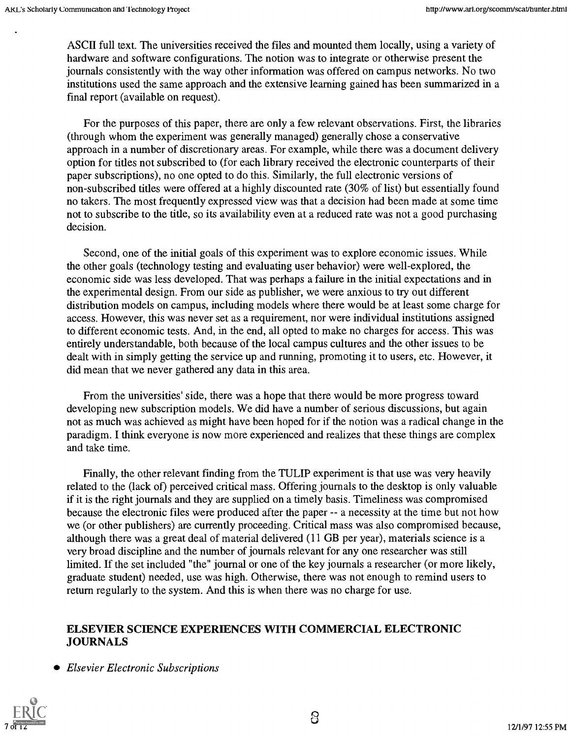ASCII full text. The universities received the files and mounted them locally, using a variety of hardware and software configurations. The notion was to integrate or otherwise present the journals consistently with the way other information was offered on campus networks. No two institutions used the same approach and the extensive learning gained has been summarized in a final report (available on request).

For the purposes of this paper, there are only a few relevant observations. First, the libraries (through whom the experiment was generally managed) generally chose a conservative approach in a number of discretionary areas. For example, while there was a document delivery option for titles not subscribed to (for each library received the electronic counterparts of their paper subscriptions), no one opted to do this. Similarly, the full electronic versions of non-subscribed titles were offered at a highly discounted rate (30% of list) but essentially found no takers. The most frequently expressed view was that a decision had been made at some time not to subscribe to the title, so its availability even at a reduced rate was not a good purchasing decision.

Second, one of the initial goals of this experiment was to explore economic issues. While the other goals (technology testing and evaluating user behavior) were well-explored, the economic side was less developed. That was perhaps a failure in the initial expectations and in the experimental design. From our side as publisher, we were anxious to try out different distribution models on campus, including models where there would be at least some charge for access. However, this was never set as a requirement, nor were individual institutions assigned to different economic tests. And, in the end, all opted to make no charges for access. This was entirely understandable, both because of the local campus cultures and the other issues to be dealt with in simply getting the service up and running, promoting it to users, etc. However, it did mean that we never gathered any data in this area.

From the universities' side, there was a hope that there would be more progress toward developing new subscription models. We did have a number of serious discussions, but again not as much was achieved as might have been hoped for if the notion was a radical change in the paradigm. I think everyone is now more experienced and realizes that these things are complex and take time.

Finally, the other relevant finding from the TULIP experiment is that use was very heavily related to the (lack of) perceived critical mass. Offering journals to the desktop is only valuable if it is the right journals and they are supplied on a timely basis. Timeliness was compromised because the electronic files were produced after the paper -- a necessity at the time but not how we (or other publishers) are currently proceeding. Critical mass was also compromised because, although there was a great deal of material delivered (11 GB per year), materials science is a very broad discipline and the number of journals relevant for any one researcher was still limited. If the set included "the" journal or one of the key journals a researcher (or more likely, graduate student) needed, use was high. Otherwise, there was not enough to remind users to return regularly to the system. And this is when there was no charge for use.

# ELSEVIER SCIENCE EXPERIENCES WITH COMMERCIAL ELECTRONIC JOURNALS

• Elsevier Electronic Subscriptions

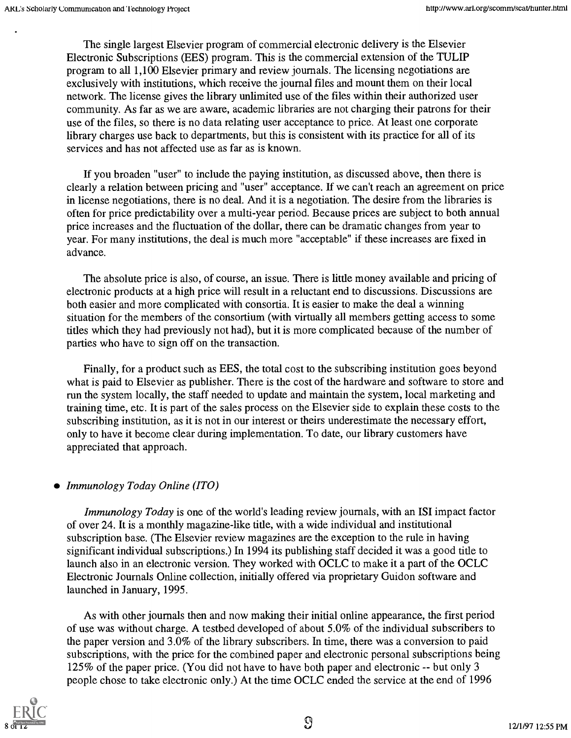The single largest Elsevier program of commercial electronic delivery is the Elsevier Electronic Subscriptions (EES) program. This is the commercial extension of the TULIP program to all 1,100 Elsevier primary and review journals. The licensing negotiations are exclusively with institutions, which receive the journal files and mount them on their local network. The license gives the library unlimited use of the files within their authorized user community. As far as we are aware, academic libraries are not charging their patrons for their use of the files, so there is no data relating user acceptance to price. At least one corporate library charges use back to departments, but this is consistent with its practice for all of its services and has not affected use as far as is known.

If you broaden "user" to include the paying institution, as discussed above, then there is clearly a relation between pricing and "user" acceptance. If we can't reach an agreement on price in license negotiations, there is no deal. And it is a negotiation. The desire from the libraries is often for price predictability over a multi-year period. Because prices are subject to both annual price increases and the fluctuation of the dollar, there can be dramatic changes from year to year. For many institutions, the deal is much more "acceptable" if these increases are fixed in advance.

The absolute price is also, of course, an issue. There is little money available and pricing of electronic products at a high price will result in a reluctant end to discussions. Discussions are both easier and more complicated with consortia. It is easier to make the deal a winning situation for the members of the consortium (with virtually all members getting access to some titles which they had previously not had), but it is more complicated because of the number of parties who have to sign off on the transaction.

Finally, for a product such as EES, the total cost to the subscribing institution goes beyond what is paid to Elsevier as publisher. There is the cost of the hardware and software to store and run the system locally, the staff needed to update and maintain the system, local marketing and training time, etc. It is part of the sales process on the Elsevier side to explain these costs to the subscribing institution, as it is not in our interest or theirs underestimate the necessary effort, only to have it become clear during implementation. To date, our library customers have appreciated that approach.

#### • Immunology Today Online (ITO)

Immunology Today is one of the world's leading review journals, with an ISI impact factor of over 24. It is a monthly magazine-like title, with a wide individual and institutional subscription base. (The Elsevier review magazines are the exception to the rule in having significant individual subscriptions.) In 1994 its publishing staff decided it was a good title to launch also in an electronic version. They worked with OCLC to make it a part of the OCLC Electronic Journals Online collection, initially offered via proprietary Guidon software and launched in January, 1995.

As with other journals then and now making their initial online appearance, the first period of use was without charge. A testbed developed of about 5.0% of the individual subscribers to the paper version and 3.0% of the library subscribers. In time, there was a conversion to paid subscriptions, with the price for the combined paper and electronic personal subscriptions being  $125\%$  of the paper price. (You did not have to have both paper and electronic -- but only 3 people chose to take electronic only.) At the time OCLC ended the service at the end of 1996

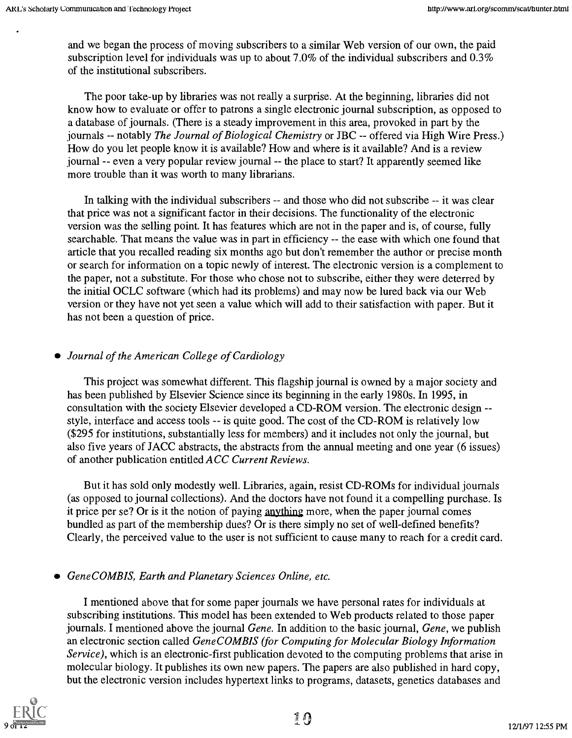and we began the process of moving subscribers to a similar Web version of our own, the paid subscription level for individuals was up to about 7.0% of the individual subscribers and 0.3% of the institutional subscribers.

The poor take-up by libraries was not really a surprise. At the beginning, libraries did not know how to evaluate or offer to patrons a single electronic journal subscription, as opposed to a database of journals. (There is a steady improvement in this area, provoked in part by the journals -- notably The Journal of Biological Chemistry or JBC -- offered via High Wire Press.) How do you let people know it is available? How and where is it available? And is a review journal -- even a very popular review journal -- the place to start? It apparently seemed like more trouble than it was worth to many librarians.

In talking with the individual subscribers -- and those who did not subscribe -- it was clear that price was not a significant factor in their decisions. The functionality of the electronic version was the selling point. It has features which are not in the paper and is, of course, fully searchable. That means the value was in part in efficiency -- the ease with which one found that article that you recalled reading six months ago but don't remember the author or precise month or search for information on a topic newly of interest. The electronic version is a complement to the paper, not a substitute. For those who chose not to subscribe, either they were deterred by the initial OCLC software (which had its problems) and may now be lured back via our Web version or they have not yet seen a value which will add to their satisfaction with paper. But it has not been a question of price.

# Journal of the American College of Cardiology

This project was somewhat different. This flagship journal is owned by a major society and has been published by Elsevier Science since its beginning in the early 1980s. In 1995, in consultation with the society Elsevier developed a CD-ROM version. The electronic design style, interface and access tools -- is quite good. The cost of the CD-ROM is relatively low (\$295 for institutions, substantially less for members) and it includes not only the journal, but also five years of JACC abstracts, the abstracts from the annual meeting and one year (6 issues) of another publication entitled ACC Current Reviews.

But it has sold only modestly well. Libraries, again, resist CD-ROMs for individual journals (as opposed to journal collections). And the doctors have not found it a compelling purchase. Is it price per se? Or is it the notion of paying anything more, when the paper journal comes bundled as part of the membership dues? Or is there simply no set of well-defined benefits? Clearly, the perceived value to the user is not sufficient to cause many to reach for a credit card.

#### GeneCOMBIS, Earth and Planetary Sciences Online, etc.

I mentioned above that for some paper journals we have personal rates for individuals at subscribing institutions. This model has been extended to Web products related to those paper journals. I mentioned above the journal Gene. In addition to the basic journal, Gene, we publish an electronic section called GeneCOMBIS (for Computing for Molecular Biology Information Service), which is an electronic-first publication devoted to the computing problems that arise in molecular biology. It publishes its own new papers. The papers are also published in hard copy, but the electronic version includes hypertext links to programs, datasets, genetics databases and

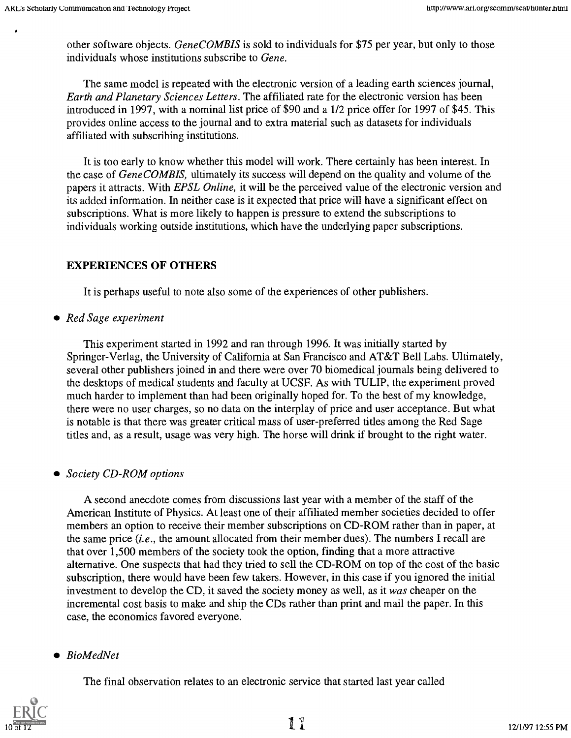other software objects. GeneCOMBIS is sold to individuals for \$75 per year, but only to those individuals whose institutions subscribe to Gene.

The same model is repeated with the electronic version of a leading earth sciences journal, Earth and Planetary Sciences Letters. The affiliated rate for the electronic version has been introduced in 1997, with a nominal list price of \$90 and a 1/2 price offer for 1997 of \$45. This provides online access to the journal and to extra material such as datasets for individuals affiliated with subscribing institutions.

It is too early to know whether this model will work. There certainly has been interest. In the case of GeneCOMBIS, ultimately its success will depend on the quality and volume of the papers it attracts. With EPSL Online, it will be the perceived value of the electronic version and its added information. In neither case is it expected that price will have a significant effect on subscriptions. What is more likely to happen is pressure to extend the subscriptions to individuals working outside institutions, which have the underlying paper subscriptions.

# EXPERIENCES OF OTHERS

It is perhaps useful to note also some of the experiences of other publishers.

• Red Sage experiment

This experiment started in 1992 and ran through 1996. It was initially started by Springer-Verlag, the University of California at San Francisco and AT&T Bell Labs. Ultimately, several other publishers joined in and there were over 70 biomedical journals being delivered to the desktops of medical students and faculty at UCSF. As with TULIP, the experiment proved much harder to implement than had been originally hoped for. To the best of my knowledge, there were no user charges, so no data on the interplay of price and user acceptance. But what is notable is that there was greater critical mass of user-preferred titles among the Red Sage titles and, as a result, usage was very high. The horse will drink if brought to the right water.

#### • Society CD-ROM options

A second anecdote comes from discussions last year with a member of the staff of the American Institute of Physics. At least one of their affiliated member societies decided to offer members an option to receive their member subscriptions on CD-ROM rather than in paper, at the same price  $(i.e.,$  the amount allocated from their member dues). The numbers I recall are that over 1,500 members of the society took the option, finding that a more attractive alternative. One suspects that had they tried to sell the CD-ROM on top of the cost of the basic subscription, there would have been few takers. However, in this case if you ignored the initial investment to develop the CD, it saved the society money as well, as it was cheaper on the incremental cost basis to make and ship the CDs rather than print and mail the paper. In this case, the economics favored everyone.

# • BioMedNet

The final observation relates to an electronic service that started last year called

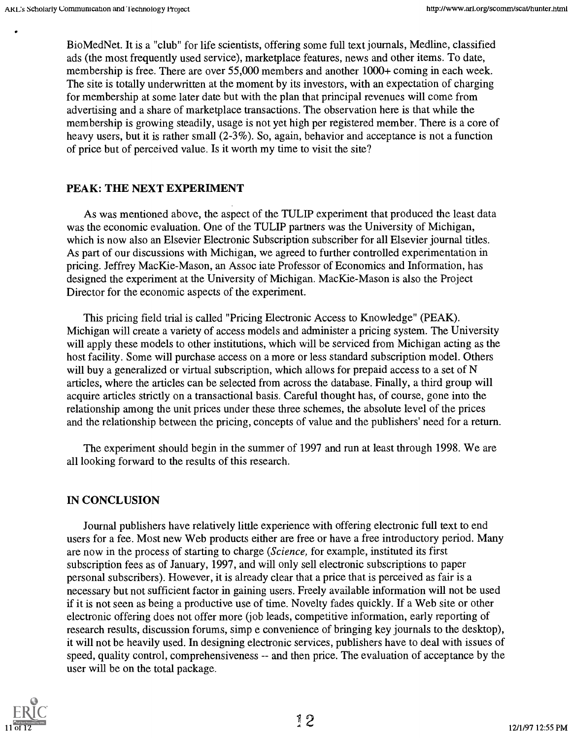BioMedNet. It is a "club" for life scientists, offering some full text journals, Medline, classified ads (the most frequently used service), marketplace features, news and other items. To date, membership is free. There are over 55,000 members and another 1000+ coming in each week. The site is totally underwritten at the moment by its investors, with an expectation of charging for membership at some later date but with the plan that principal revenues will come from advertising and a share of marketplace transactions. The observation here is that while the membership is growing steadily, usage is not yet high per registered member. There is a core of heavy users, but it is rather small (2-3%). So, again, behavior and acceptance is not a function of price but of perceived value. Is it worth my time to visit the site?

#### PEAK: THE NEXT EXPERIMENT

As was mentioned above, the aspect of the TULIP experiment that produced the least data was the economic evaluation. One of the TULIP partners was the University of Michigan, which is now also an Elsevier Electronic Subscription subscriber for all Elsevier journal titles. As part of our discussions with Michigan, we agreed to further controlled experimentation in pricing. Jeffrey MacKie-Mason, an Assoc iate Professor of Economics and Information, has designed the experiment at the University of Michigan. MacKie-Mason is also the Project Director for the economic aspects of the experiment.

This pricing field trial is called "Pricing Electronic Access to Knowledge" (PEAK). Michigan will create a variety of access models and administer a pricing system. The University will apply these models to other institutions, which will be serviced from Michigan acting as the host facility. Some will purchase access on a more or less standard subscription model. Others will buy a generalized or virtual subscription, which allows for prepaid access to a set of N articles, where the articles can be selected from across the database. Finally, a third group will acquire articles strictly on a transactional basis. Careful thought has, of course, gone into the relationship among the unit prices under these three schemes, the absolute level of the prices and the relationship between the pricing, concepts of value and the publishers' need for a return.

The experiment should begin in the summer of 1997 and run at least through 1998. We are all looking forward to the results of this research.

#### IN CONCLUSION

Journal publishers have relatively little experience with offering electronic full text to end users for a fee. Most new Web products either are free or have a free introductory period. Many are now in the process of starting to charge (Science, for example, instituted its first subscription fees as of January, 1997, and will only sell electronic subscriptions to paper personal subscribers). However, it is already clear that a price that is perceived as fair is a necessary but not sufficient factor in gaining users. Freely available information will not be used if it is not seen as being a productive use of time. Novelty fades quickly. If a Web site or other electronic offering does not offer more (job leads, competitive information, early reporting of research results, discussion forums, simp e convenience of bringing key journals to the desktop), it will not be heavily used. In designing electronic services, publishers have to deal with issues of speed, quality control, comprehensiveness -- and then price. The evaluation of acceptance by the user will be on the total package.

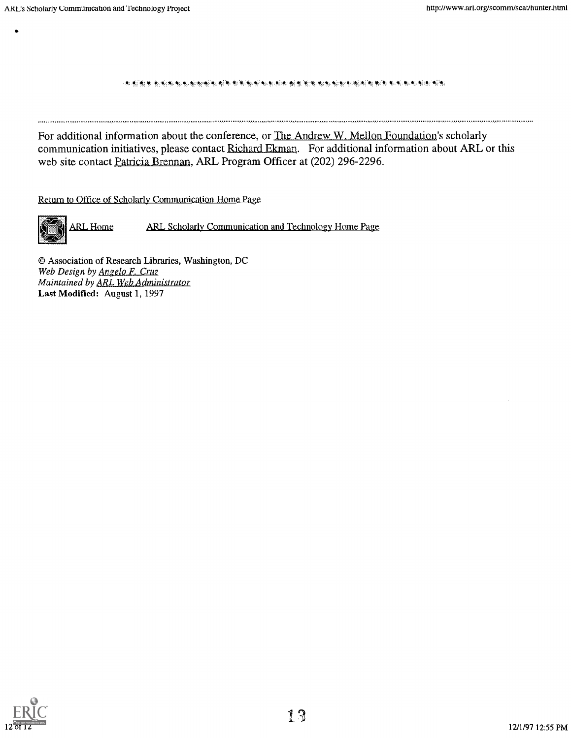#### 1!::: !:

For additional information about the conference, or The Andrew W. Mellon Foundation's scholarly communication initiatives, please contact Richard Ekman. For additional information about ARL or this web site contact Patricia Brennan, ARL Program Officer at (202) 296-2296.

Return to Office of Scholarly Communication Home Page



 $\bullet$ 

ARL Home ARL Scholarly Communication and Technology Home Page.

© Association of Research Libraries, Washington, DC Web Design by Angelo F. Cruz Maintained by ARL Web Administrator Last Modified: August 1, 1997